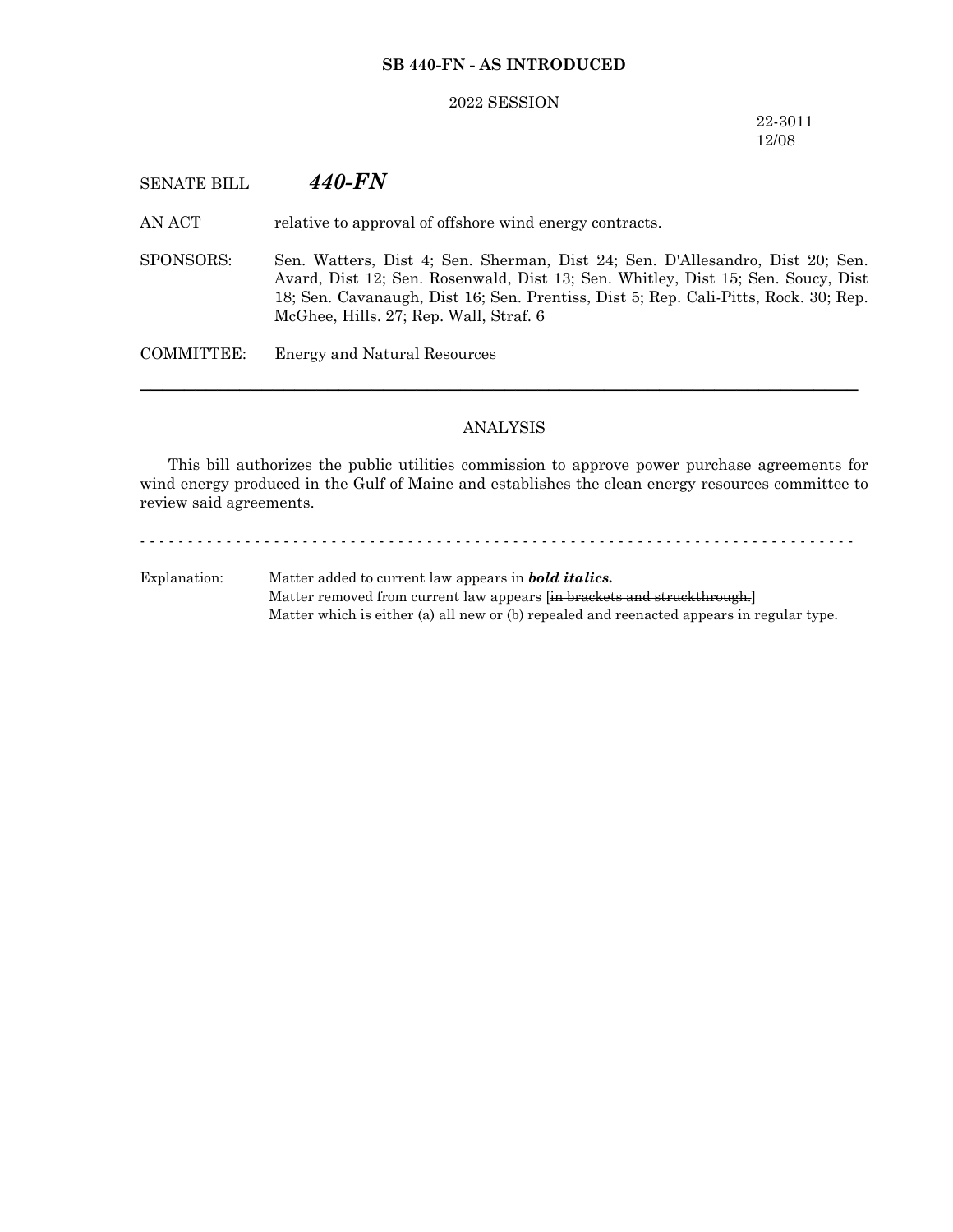## **SB 440-FN - AS INTRODUCED**

#### 2022 SESSION

## 22-3011 12/08

# SENATE BILL *440-FN*

AN ACT relative to approval of offshore wind energy contracts.

SPONSORS: Sen. Watters, Dist 4; Sen. Sherman, Dist 24; Sen. D'Allesandro, Dist 20; Sen. Avard, Dist 12; Sen. Rosenwald, Dist 13; Sen. Whitley, Dist 15; Sen. Soucy, Dist 18; Sen. Cavanaugh, Dist 16; Sen. Prentiss, Dist 5; Rep. Cali-Pitts, Rock. 30; Rep. McGhee, Hills. 27; Rep. Wall, Straf. 6

COMMITTEE: Energy and Natural Resources

## ANALYSIS

─────────────────────────────────────────────────────────────────

This bill authorizes the public utilities commission to approve power purchase agreements for wind energy produced in the Gulf of Maine and establishes the clean energy resources committee to review said agreements.

- - - - - - - - - - - - - - - - - - - - - - - - - - - - - - - - - - - - - - - - - - - - - - - - - - - - - - - - - - - - - - - - - - - - - - - - - - - Explanation: Matter added to current law appears in *bold italics.* Matter removed from current law appears [in brackets and struckthrough.] Matter which is either (a) all new or (b) repealed and reenacted appears in regular type.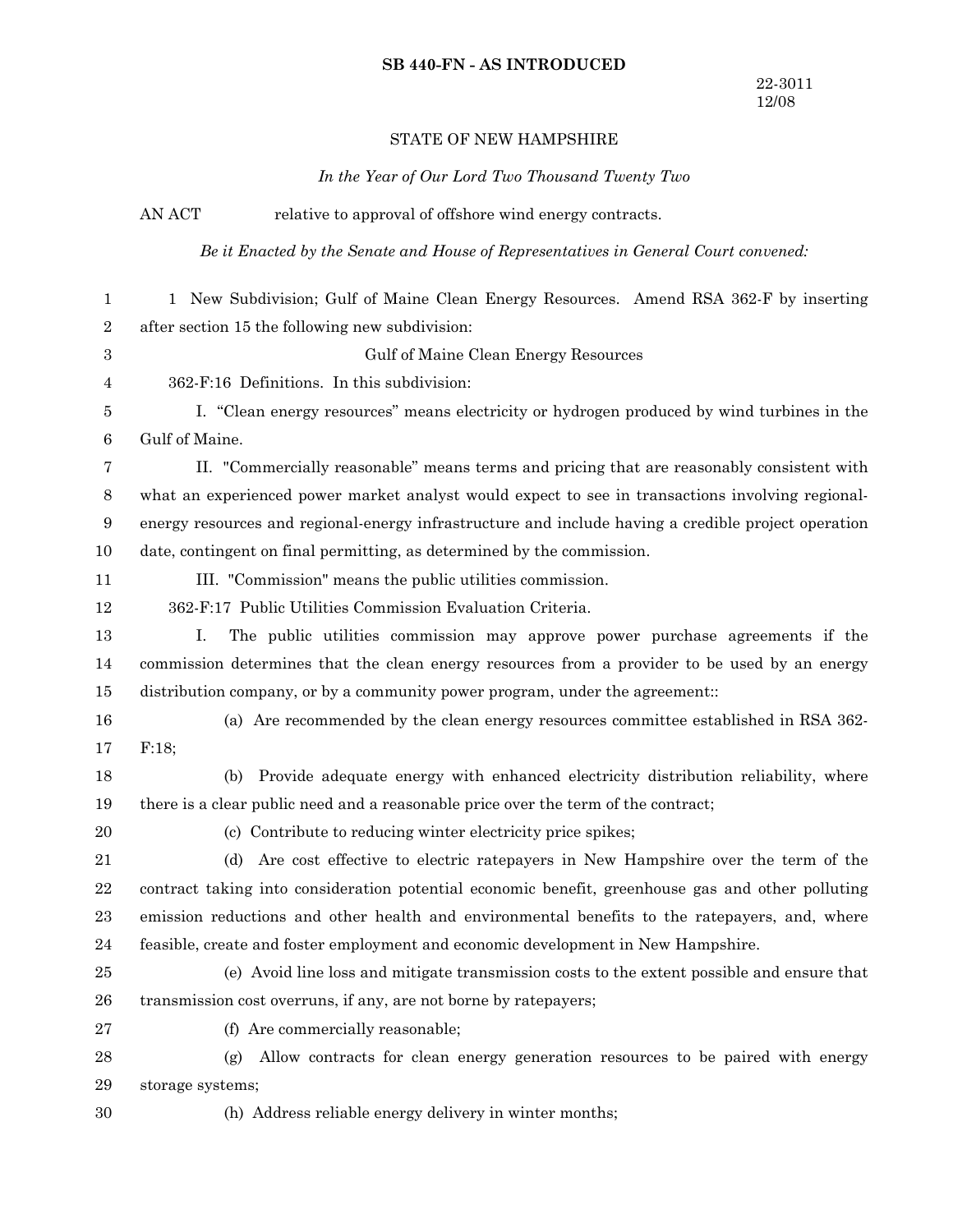#### **SB 440-FN - AS INTRODUCED**

## STATE OF NEW HAMPSHIRE

*In the Year of Our Lord Two Thousand Twenty Two*

AN ACT relative to approval of offshore wind energy contracts. *Be it Enacted by the Senate and House of Representatives in General Court convened:* 1 New Subdivision; Gulf of Maine Clean Energy Resources. Amend RSA 362-F by inserting after section 15 the following new subdivision: Gulf of Maine Clean Energy Resources 362-F:16 Definitions. In this subdivision: I. "Clean energy resources" means electricity or hydrogen produced by wind turbines in the Gulf of Maine. II. "Commercially reasonable" means terms and pricing that are reasonably consistent with what an experienced power market analyst would expect to see in transactions involving regionalenergy resources and regional-energy infrastructure and include having a credible project operation date, contingent on final permitting, as determined by the commission. III. "Commission" means the public utilities commission. 362-F:17 Public Utilities Commission Evaluation Criteria. I. The public utilities commission may approve power purchase agreements if the commission determines that the clean energy resources from a provider to be used by an energy distribution company, or by a community power program, under the agreement:: (a) Are recommended by the clean energy resources committee established in RSA 362- F:18; (b) Provide adequate energy with enhanced electricity distribution reliability, where there is a clear public need and a reasonable price over the term of the contract; (c) Contribute to reducing winter electricity price spikes; (d) Are cost effective to electric ratepayers in New Hampshire over the term of the contract taking into consideration potential economic benefit, greenhouse gas and other polluting emission reductions and other health and environmental benefits to the ratepayers, and, where feasible, create and foster employment and economic development in New Hampshire. (e) Avoid line loss and mitigate transmission costs to the extent possible and ensure that transmission cost overruns, if any, are not borne by ratepayers; (f) Are commercially reasonable; (g) Allow contracts for clean energy generation resources to be paired with energy storage systems; (h) Address reliable energy delivery in winter months; 1 2 3 4 5 6 7 8 9 10 11 12 13 14 15 16 17 18 19 20 21 22 23 24 25 26 27 28 29 30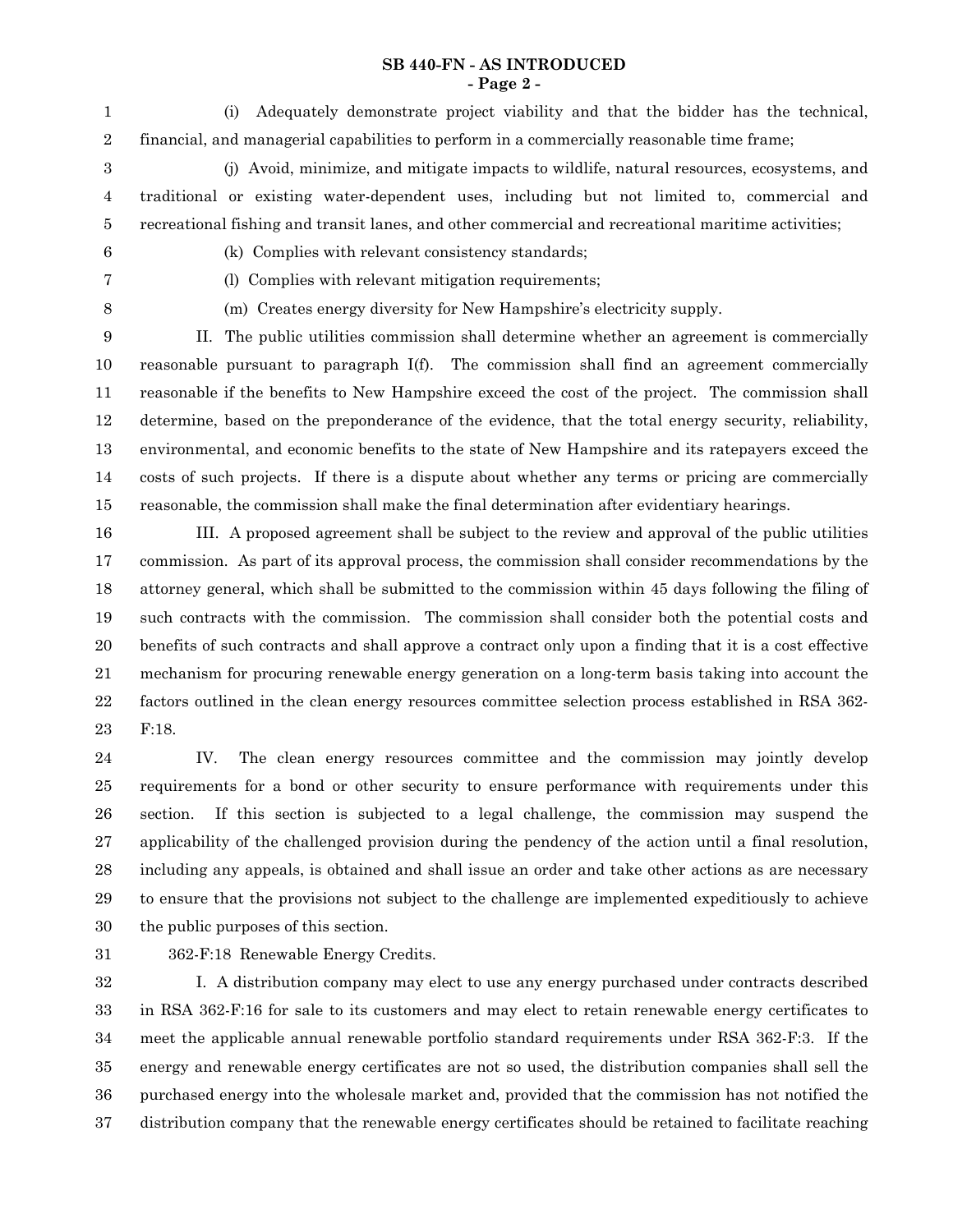### **SB 440-FN - AS INTRODUCED - Page 2 -**

(i) Adequately demonstrate project viability and that the bidder has the technical, financial, and managerial capabilities to perform in a commercially reasonable time frame; 1 2

(j) Avoid, minimize, and mitigate impacts to wildlife, natural resources, ecosystems, and traditional or existing water-dependent uses, including but not limited to, commercial and recreational fishing and transit lanes, and other commercial and recreational maritime activities; 3 4 5

6

(k) Complies with relevant consistency standards;

7

(l) Complies with relevant mitigation requirements;

8

(m) Creates energy diversity for New Hampshire's electricity supply.

II. The public utilities commission shall determine whether an agreement is commercially reasonable pursuant to paragraph I(f). The commission shall find an agreement commercially reasonable if the benefits to New Hampshire exceed the cost of the project. The commission shall determine, based on the preponderance of the evidence, that the total energy security, reliability, environmental, and economic benefits to the state of New Hampshire and its ratepayers exceed the costs of such projects. If there is a dispute about whether any terms or pricing are commercially reasonable, the commission shall make the final determination after evidentiary hearings. 9 10 11 12 13 14 15

III. A proposed agreement shall be subject to the review and approval of the public utilities commission. As part of its approval process, the commission shall consider recommendations by the attorney general, which shall be submitted to the commission within 45 days following the filing of such contracts with the commission. The commission shall consider both the potential costs and benefits of such contracts and shall approve a contract only upon a finding that it is a cost effective mechanism for procuring renewable energy generation on a long-term basis taking into account the factors outlined in the clean energy resources committee selection process established in RSA 362- F:18. 16 17 18 19 20 21 22 23

IV. The clean energy resources committee and the commission may jointly develop requirements for a bond or other security to ensure performance with requirements under this section. If this section is subjected to a legal challenge, the commission may suspend the applicability of the challenged provision during the pendency of the action until a final resolution, including any appeals, is obtained and shall issue an order and take other actions as are necessary to ensure that the provisions not subject to the challenge are implemented expeditiously to achieve the public purposes of this section. 24 25 26 27 28 29 30

31

362-F:18 Renewable Energy Credits.

I. A distribution company may elect to use any energy purchased under contracts described in RSA 362-F:16 for sale to its customers and may elect to retain renewable energy certificates to meet the applicable annual renewable portfolio standard requirements under RSA 362-F:3. If the energy and renewable energy certificates are not so used, the distribution companies shall sell the purchased energy into the wholesale market and, provided that the commission has not notified the distribution company that the renewable energy certificates should be retained to facilitate reaching 32 33 34 35 36 37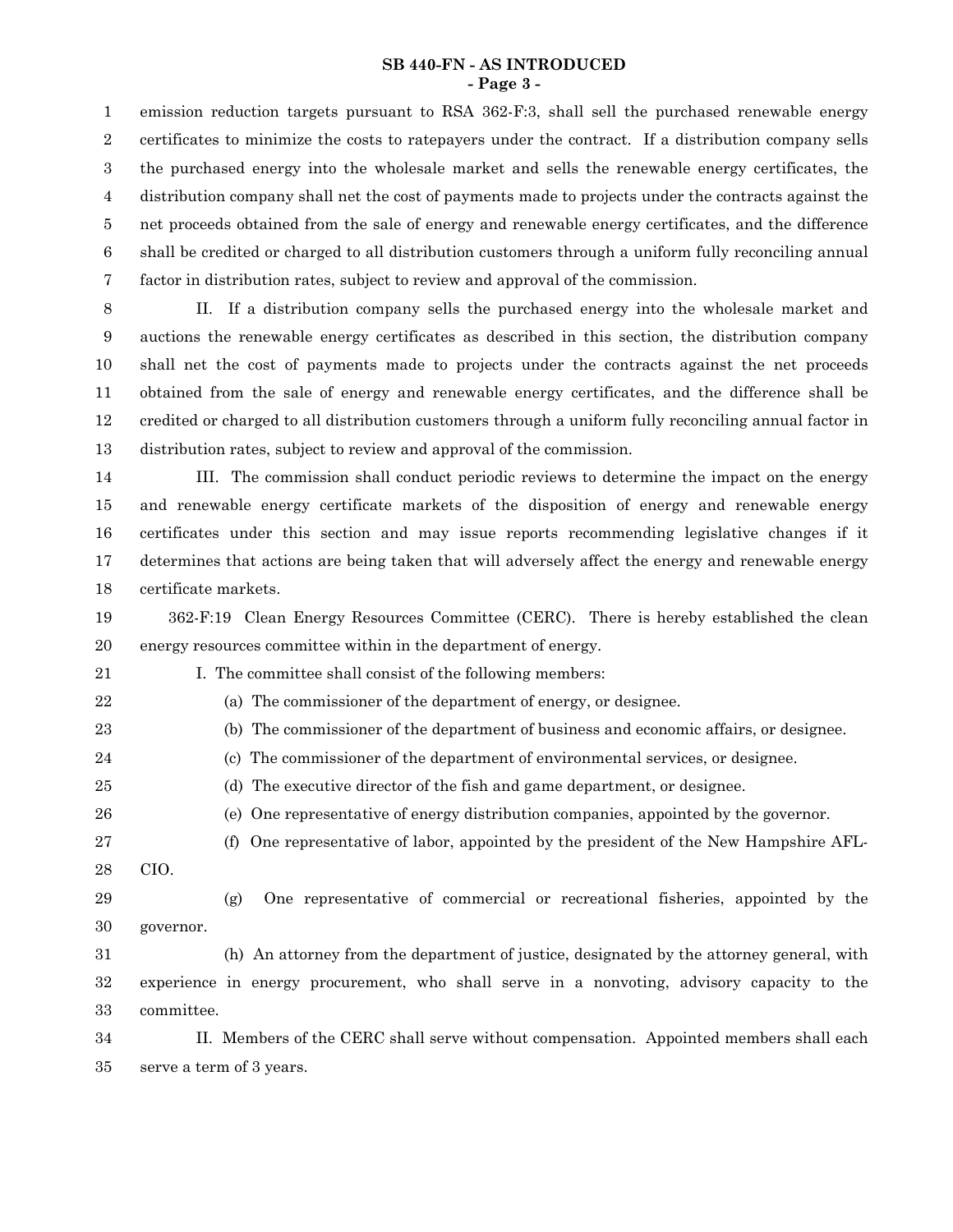#### **SB 440-FN - AS INTRODUCED - Page 3 -**

emission reduction targets pursuant to RSA 362-F:3, shall sell the purchased renewable energy certificates to minimize the costs to ratepayers under the contract. If a distribution company sells the purchased energy into the wholesale market and sells the renewable energy certificates, the distribution company shall net the cost of payments made to projects under the contracts against the net proceeds obtained from the sale of energy and renewable energy certificates, and the difference shall be credited or charged to all distribution customers through a uniform fully reconciling annual factor in distribution rates, subject to review and approval of the commission. 1 2 3 4 5 6 7

II. If a distribution company sells the purchased energy into the wholesale market and auctions the renewable energy certificates as described in this section, the distribution company shall net the cost of payments made to projects under the contracts against the net proceeds obtained from the sale of energy and renewable energy certificates, and the difference shall be credited or charged to all distribution customers through a uniform fully reconciling annual factor in distribution rates, subject to review and approval of the commission. 8 9 10 11 12 13

III. The commission shall conduct periodic reviews to determine the impact on the energy and renewable energy certificate markets of the disposition of energy and renewable energy certificates under this section and may issue reports recommending legislative changes if it determines that actions are being taken that will adversely affect the energy and renewable energy certificate markets. 14 15 16 17 18

362-F:19 Clean Energy Resources Committee (CERC). There is hereby established the clean energy resources committee within in the department of energy. 19 20

I. The committee shall consist of the following members:

(a) The commissioner of the department of energy, or designee.

23

21 22

24 25 26 (c) The commissioner of the department of environmental services, or designee.

(b) The commissioner of the department of business and economic affairs, or designee.

- (d) The executive director of the fish and game department, or designee.
- (e) One representative of energy distribution companies, appointed by the governor.
- (f) One representative of labor, appointed by the president of the New Hampshire AFL-CIO. 27
- 28
- 29
- (g) One representative of commercial or recreational fisheries, appointed by the governor. 30
- (h) An attorney from the department of justice, designated by the attorney general, with experience in energy procurement, who shall serve in a nonvoting, advisory capacity to the committee. 31 32 33

II. Members of the CERC shall serve without compensation. Appointed members shall each serve a term of 3 years. 34 35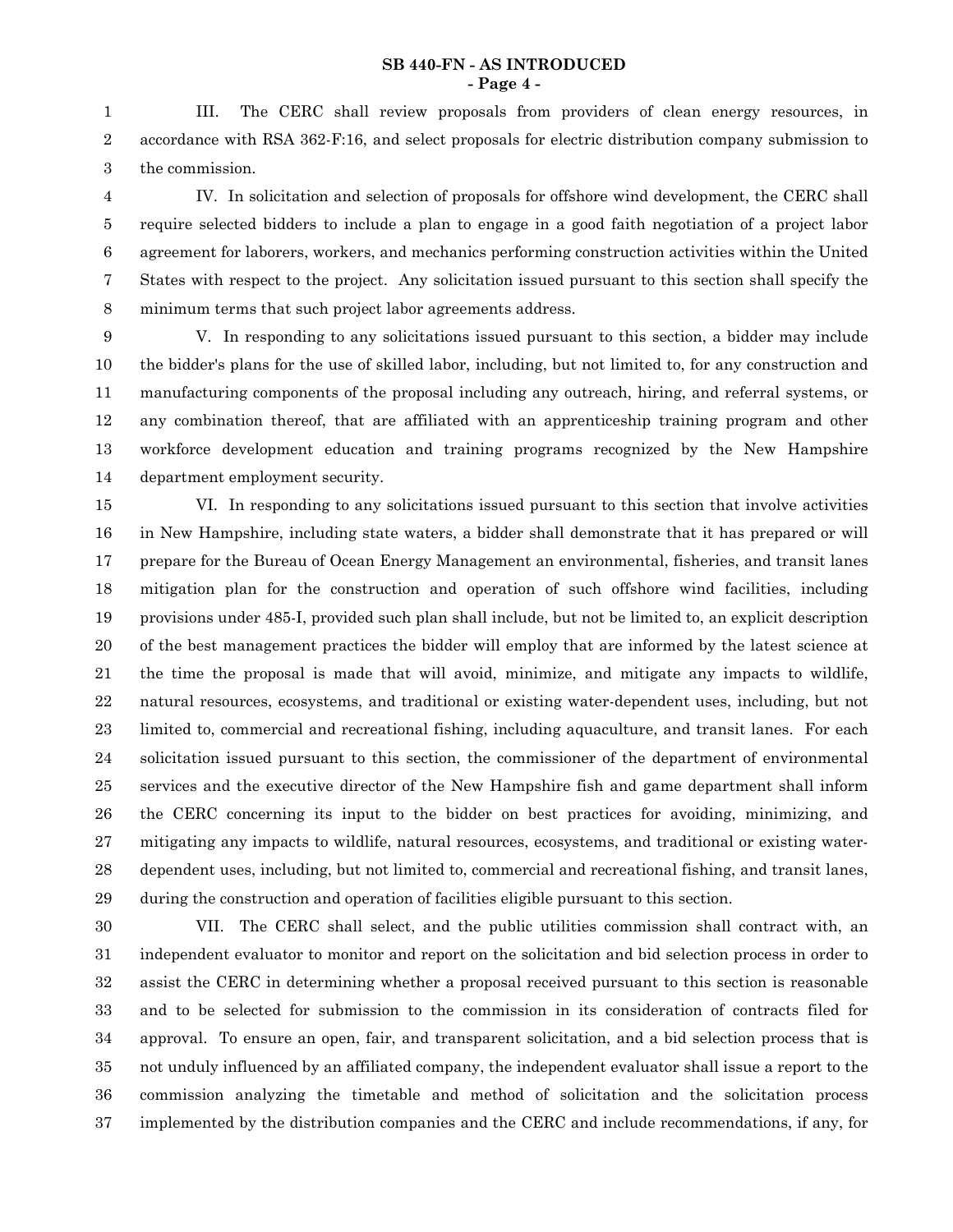### **SB 440-FN - AS INTRODUCED - Page 4 -**

III. The CERC shall review proposals from providers of clean energy resources, in accordance with RSA 362-F:16, and select proposals for electric distribution company submission to the commission. 1 2 3

IV. In solicitation and selection of proposals for offshore wind development, the CERC shall require selected bidders to include a plan to engage in a good faith negotiation of a project labor agreement for laborers, workers, and mechanics performing construction activities within the United States with respect to the project. Any solicitation issued pursuant to this section shall specify the minimum terms that such project labor agreements address. 4 5 6 7 8

V. In responding to any solicitations issued pursuant to this section, a bidder may include the bidder's plans for the use of skilled labor, including, but not limited to, for any construction and manufacturing components of the proposal including any outreach, hiring, and referral systems, or any combination thereof, that are affiliated with an apprenticeship training program and other workforce development education and training programs recognized by the New Hampshire department employment security. 9 10 11 12 13 14

VI. In responding to any solicitations issued pursuant to this section that involve activities in New Hampshire, including state waters, a bidder shall demonstrate that it has prepared or will prepare for the Bureau of Ocean Energy Management an environmental, fisheries, and transit lanes mitigation plan for the construction and operation of such offshore wind facilities, including provisions under 485-I, provided such plan shall include, but not be limited to, an explicit description of the best management practices the bidder will employ that are informed by the latest science at the time the proposal is made that will avoid, minimize, and mitigate any impacts to wildlife, natural resources, ecosystems, and traditional or existing water-dependent uses, including, but not limited to, commercial and recreational fishing, including aquaculture, and transit lanes. For each solicitation issued pursuant to this section, the commissioner of the department of environmental services and the executive director of the New Hampshire fish and game department shall inform the CERC concerning its input to the bidder on best practices for avoiding, minimizing, and mitigating any impacts to wildlife, natural resources, ecosystems, and traditional or existing waterdependent uses, including, but not limited to, commercial and recreational fishing, and transit lanes, during the construction and operation of facilities eligible pursuant to this section. 15 16 17 18 19 20 21 22 23 24 25 26 27 28 29

VII. The CERC shall select, and the public utilities commission shall contract with, an independent evaluator to monitor and report on the solicitation and bid selection process in order to assist the CERC in determining whether a proposal received pursuant to this section is reasonable and to be selected for submission to the commission in its consideration of contracts filed for approval. To ensure an open, fair, and transparent solicitation, and a bid selection process that is not unduly influenced by an affiliated company, the independent evaluator shall issue a report to the commission analyzing the timetable and method of solicitation and the solicitation process implemented by the distribution companies and the CERC and include recommendations, if any, for 30 31 32 33 34 35 36 37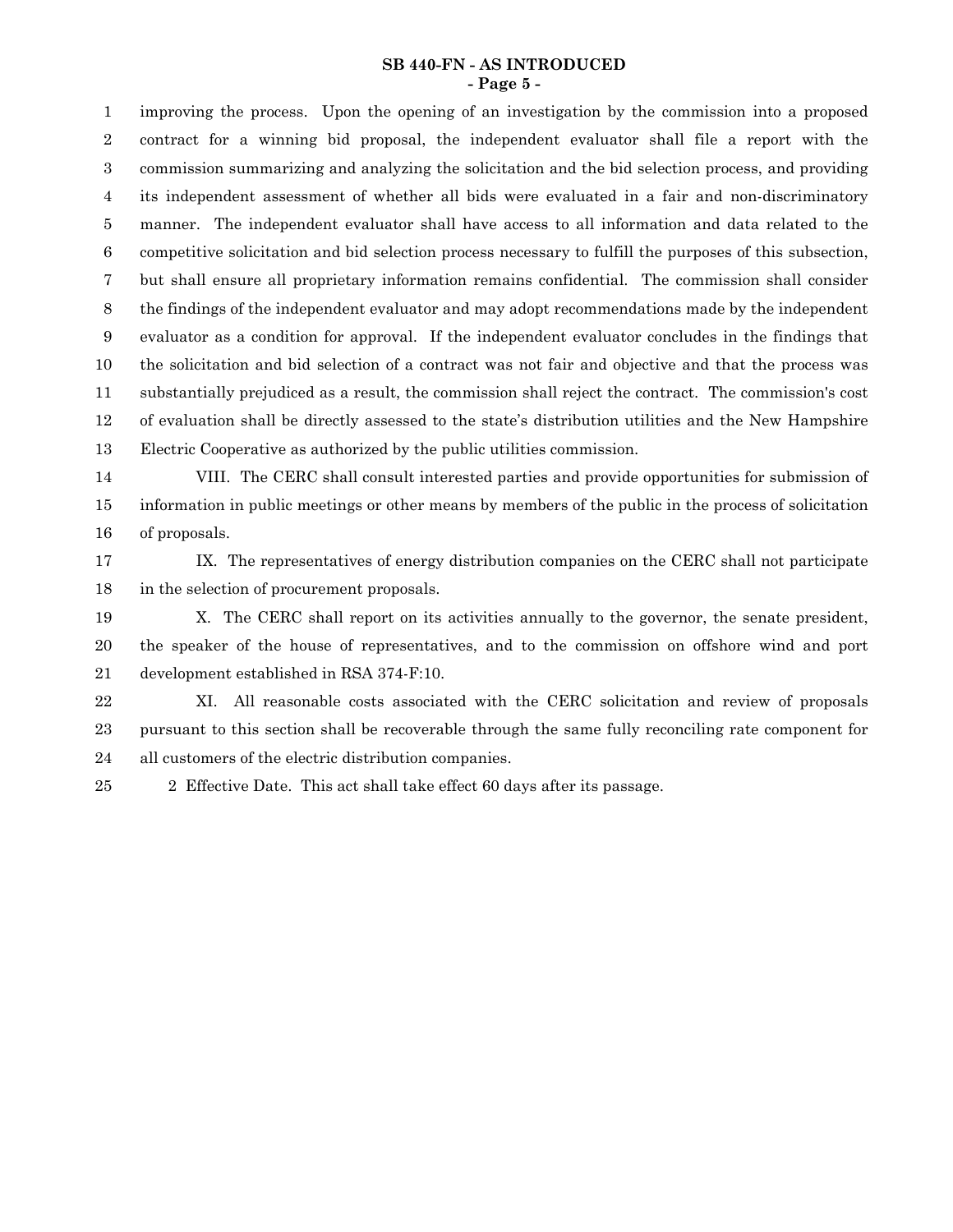#### **SB 440-FN - AS INTRODUCED - Page 5 -**

improving the process. Upon the opening of an investigation by the commission into a proposed contract for a winning bid proposal, the independent evaluator shall file a report with the commission summarizing and analyzing the solicitation and the bid selection process, and providing its independent assessment of whether all bids were evaluated in a fair and non-discriminatory manner. The independent evaluator shall have access to all information and data related to the competitive solicitation and bid selection process necessary to fulfill the purposes of this subsection, but shall ensure all proprietary information remains confidential. The commission shall consider the findings of the independent evaluator and may adopt recommendations made by the independent evaluator as a condition for approval. If the independent evaluator concludes in the findings that the solicitation and bid selection of a contract was not fair and objective and that the process was substantially prejudiced as a result, the commission shall reject the contract. The commission's cost of evaluation shall be directly assessed to the state's distribution utilities and the New Hampshire Electric Cooperative as authorized by the public utilities commission. 1 2 3 4 5 6 7 8 9 10 11 12 13

VIII. The CERC shall consult interested parties and provide opportunities for submission of information in public meetings or other means by members of the public in the process of solicitation of proposals. 14 15 16

IX. The representatives of energy distribution companies on the CERC shall not participate in the selection of procurement proposals. 17 18

X. The CERC shall report on its activities annually to the governor, the senate president, the speaker of the house of representatives, and to the commission on offshore wind and port development established in RSA 374-F:10. 19 20 21

XI. All reasonable costs associated with the CERC solicitation and review of proposals pursuant to this section shall be recoverable through the same fully reconciling rate component for all customers of the electric distribution companies. 22 23 24

25

2 Effective Date. This act shall take effect 60 days after its passage.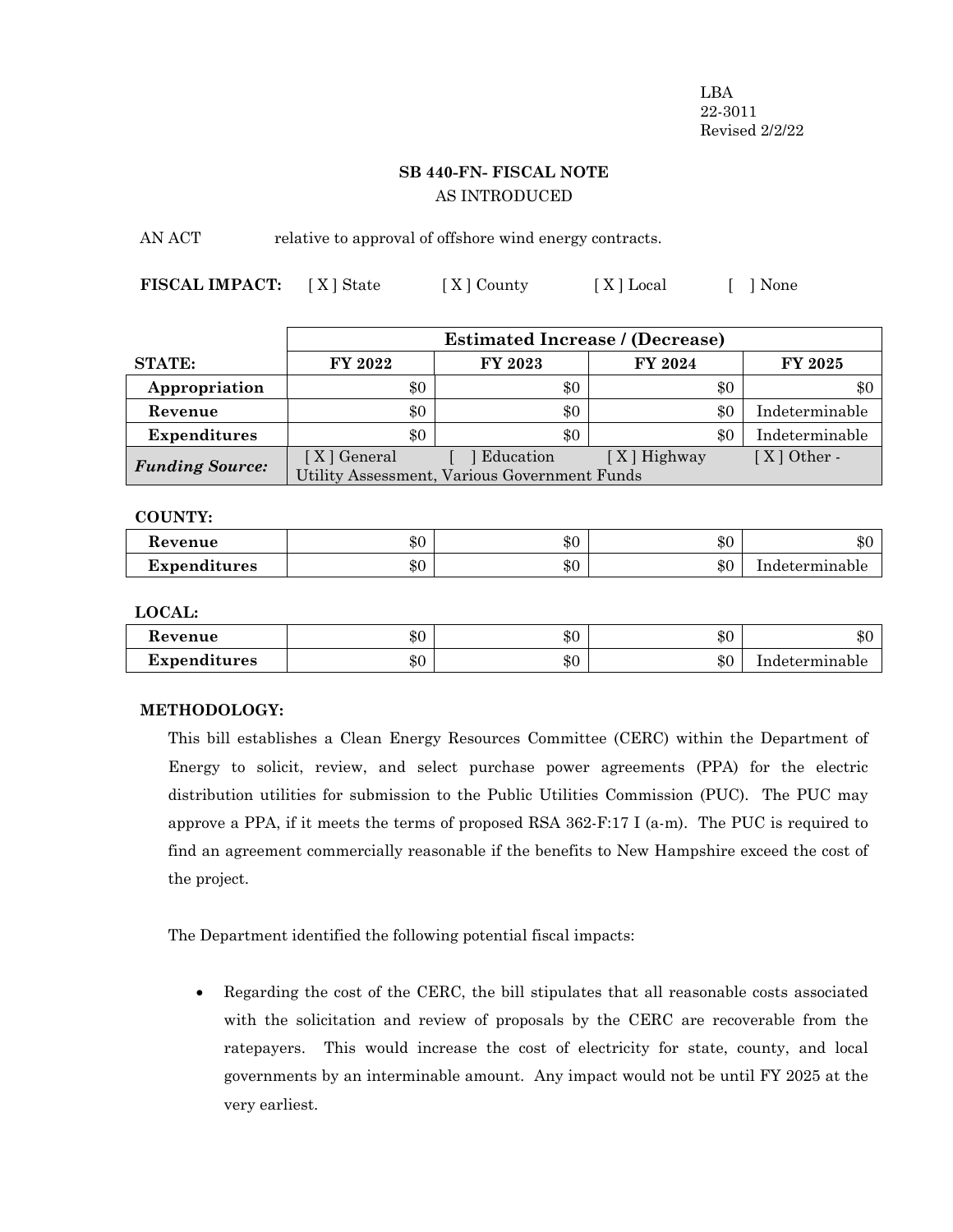LBA 22-3011 Revised 2/2/22

# **SB 440-FN- FISCAL NOTE** AS INTRODUCED

AN ACT relative to approval of offshore wind energy contracts.

**FISCAL IMPACT:** [X] State [X] County [X] Local [ ] None

|                        | <b>Estimated Increase / (Decrease)</b>       |           |             |                |  |
|------------------------|----------------------------------------------|-----------|-------------|----------------|--|
| <b>STATE:</b>          | FY 2022                                      | FY 2023   | FY 2024     | <b>FY 2025</b> |  |
| Appropriation          | \$0                                          | \$0       | \$0         | \$0            |  |
| Revenue                | \$0                                          | \$0       | \$0         | Indeterminable |  |
| <b>Expenditures</b>    | \$0                                          | $\$0$     | \$0         | Indeterminable |  |
| <b>Funding Source:</b> | [ X ] General                                | Education | [X] Highway | $[X]$ Other -  |  |
|                        | Utility Assessment, Various Government Funds |           |             |                |  |

# **COUNTY:**

| Revenue      | ሐ ∩       | ው ጦ | ـ ـ ـ | $\triangle$ r  |
|--------------|-----------|-----|-------|----------------|
|              | ক্য       | ФU  | ΦU    | ക്ര            |
| Expenditures | ሐ ጣ<br>ΦU | \$0 | \$0   | Indeterminable |

**LOCAL:**

| Revenue      | ሱ ሰ                  | ው ጦ | ሱ ቦ       | ሱሪ             |
|--------------|----------------------|-----|-----------|----------------|
|              | ъU                   | ্১∪ | ∙D∪       | ADU            |
| Expenditures | 0 <sup>n</sup><br>ъU | \$0 | ሱ ቦ<br>ΦU | Indeterminable |

# **METHODOLOGY:**

This bill establishes a Clean Energy Resources Committee (CERC) within the Department of Energy to solicit, review, and select purchase power agreements (PPA) for the electric distribution utilities for submission to the Public Utilities Commission (PUC). The PUC may approve a PPA, if it meets the terms of proposed RSA  $362$ -F:17 I (a-m). The PUC is required to find an agreement commercially reasonable if the benefits to New Hampshire exceed the cost of the project.

The Department identified the following potential fiscal impacts:

· Regarding the cost of the CERC, the bill stipulates that all reasonable costs associated with the solicitation and review of proposals by the CERC are recoverable from the ratepayers. This would increase the cost of electricity for state, county, and local governments by an interminable amount. Any impact would not be until FY 2025 at the very earliest.